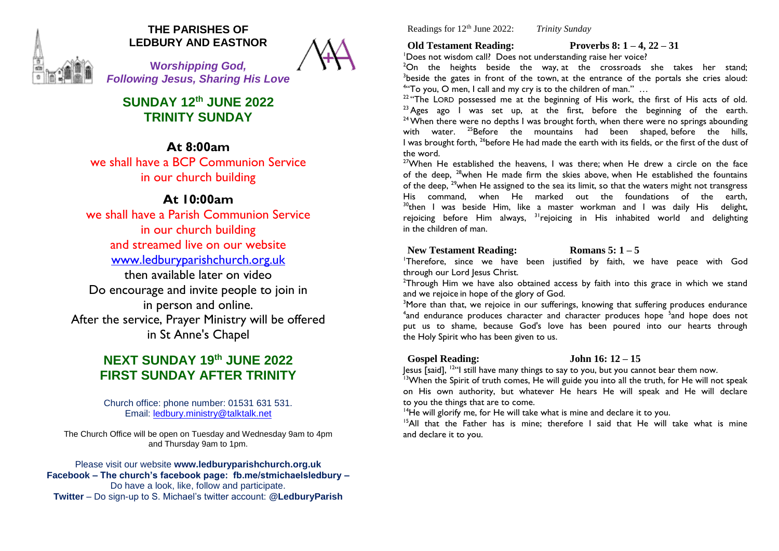

# **THE PARISHES OF LEDBURY AND EASTNOR**

**W***orshipping God, Following Jesus, Sharing His Love*

**SUNDAY 12th JUNE 2022 TRINITY SUNDAY**

# **At 8:00am**

we shall have a BCP Communion Service in our church building

# **At 10:00am**

we shall have a Parish Communion Service in our church building and streamed live on our website [www.ledburyparishchurch.org.uk](http://www.ledburyparishchurch.org.uk/) then available later on video Do encourage and invite people to join in in person and online. After the service, Prayer Ministry will be offered in St Anne's Chapel

# **NEXT SUNDAY 19 th JUNE 2022 FIRST SUNDAY AFTER TRINITY**

Church office: phone number: 01531 631 531. Email: [ledbury.ministry@talktalk.net](mailto:ledbury.ministry@talktalk.net)

The Church Office will be open on Tuesday and Wednesday 9am to 4pm and Thursday 9am to 1pm.

Please visit our website **www.ledburyparishchurch.org.uk Facebook – The church's facebook page: fb.me/stmichaelsledbury –** Do have a look, like, follow and participate. **Twitter** – Do sign-up to S. Michael's twitter account: **@LedburyParish**

Readings for 12th June 2022: *Trinity Sunday*

**Old Testament Reading: Proverbs 8: 1 – 4, 22 – 31**

<sup>1</sup>Does not wisdom call? Does not understanding raise her voice?

 $2$ On the heights beside the way at the crossroads she takes her stand; <sup>3</sup>beside the gates in front of the town, at the entrance of the portals she cries aloud: 4 "To you, O men, I call and my cry is to the children of man." …

 $22$  "The LORD possessed me at the beginning of His work, the first of His acts of old.  $23$  Ages ago I was set up, at the first, before the beginning of the earth.  $24$  When there were no depths I was brought forth, when there were no springs abounding with water. <sup>25</sup>Before the mountains had been shaped, before the hills, I was brought forth, <sup>26</sup>before He had made the earth with its fields, or the first of the dust of the word.

<sup>27</sup>When He established the heavens, I was there; when He drew a circle on the face of the deep, <sup>28</sup>when He made firm the skies above, when He established the fountains of the deep,  $29$  when He assigned to the sea its limit, so that the waters might not transgress His command, when He marked out the foundations of the earth,  $30$ <sup>0</sup>then I was beside Him, like a master workman and I was daily His delight, rejoicing before Him always,  $31$  rejoicing in His inhabited world and delighting in the children of man.

## **New Testament Reading: Romans 5: 1 – 5**

<sup>1</sup>Therefore, since we have been justified by faith, we have peace with God through our Lord Jesus Christ.

<sup>2</sup>Through Him we have also obtained access by faith into this grace in which we stand and we rejoice in hope of the glory of God.

<sup>3</sup>More than that, we rejoice in our sufferings, knowing that suffering produces endurance <sup>4</sup> and endurance produces character and character produces hope <sup>5</sup> and hope does not put us to shame, because God's love has been poured into our hearts through the Holy Spirit who has been given to us.

### **Gospel Reading: John 16: 12 – 15**

 $\gamma$  lesus [said],  $^{12}$ "I still have many things to say to you, but you cannot bear them now.

<sup>13</sup>When the Spirit of truth comes, He will guide you into all the truth, for He will not speak on His own authority, but whatever He hears He will speak and He will declare to you the things that are to come.

 $14$ He will glorify me, for He will take what is mine and declare it to you.

 $15$ All that the Father has is mine; therefore I said that He will take what is mine and declare it to you.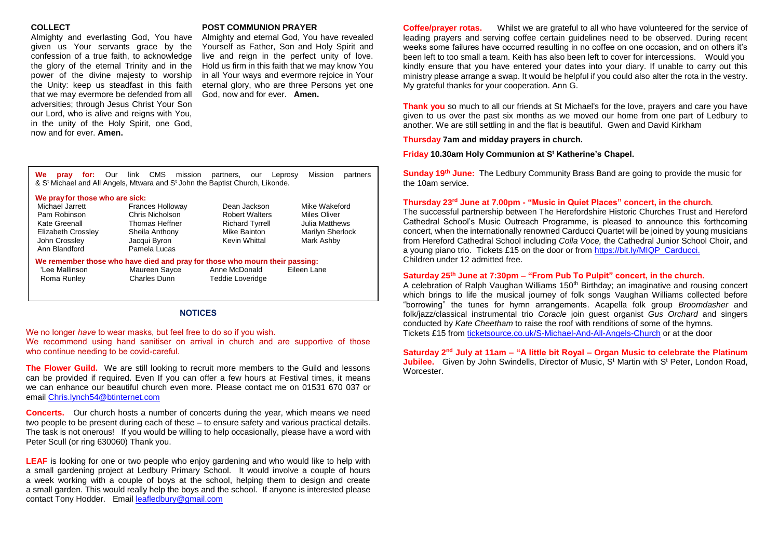#### **COLLECT**

Almighty and everlasting God, You have given us Your servants grace by the confession of a true faith, to acknowledge the glory of the eternal Trinity and in the power of the divine majesty to worship the Unity: keep us steadfast in this faith that we may evermore be defended from all adversities; through Jesus Christ Your Son our Lord, who is alive and reigns with You, in the unity of the Holy Spirit, one God, now and for ever. **Amen.**

### **POST COMMUNION PRAYER**

Almighty and eternal God, You have revealed Yourself as Father, Son and Holy Spirit and live and reign in the perfect unity of love. Hold us firm in this faith that we may know You in all Your ways and evermore rejoice in Your eternal glory, who are three Persons yet one God, now and for ever. **Amen.**

| We<br>for: Our<br>pray                                                                                                     | CMS<br>link<br>mission<br>& S <sup>t</sup> Michael and All Angels, Mtwara and S <sup>t</sup> John the Baptist Church, Likonde.      | partners.<br>our                                                                                 | Mission<br>partners<br>Leprosy                                                    | <b>Sunc</b><br>the 1                                |
|----------------------------------------------------------------------------------------------------------------------------|-------------------------------------------------------------------------------------------------------------------------------------|--------------------------------------------------------------------------------------------------|-----------------------------------------------------------------------------------|-----------------------------------------------------|
| We pray for those who are sick:<br>Michael Jarrett<br>Pam Robinson<br>Kate Greenall<br>Elizabeth Crossley<br>John Crossley | <b>Frances Holloway</b><br>Chris Nicholson<br>Thomas Heffner<br>Sheila Anthony<br>Jacqui Byron                                      | Dean Jackson<br><b>Robert Walters</b><br><b>Richard Tyrrell</b><br>Mike Bainton<br>Kevin Whittal | Mike Wakeford<br>Miles Oliver<br>Julia Matthews<br>Marilyn Sherlock<br>Mark Ashby | <b>Thur</b><br>The s<br>Cath<br><b>conc</b><br>from |
| Ann Blandford<br>'Lee Mallinson<br>Roma Runley                                                                             | Pamela Lucas<br>We remember those who have died and pray for those who mourn their passing:<br>Maureen Sayce<br><b>Charles Dunn</b> | Anne McDonald<br><b>Teddie Loveridge</b>                                                         | Eileen Lane                                                                       | a you<br>Child<br><b>Satu</b><br>A cel<br>which     |

#### **NOTICES**

We no longer *have* to wear masks, but feel free to do so if you wish. We recommend using hand sanitiser on arrival in church and are supportive of those who continue needing to be covid-careful.

**The Flower Guild.** We are still looking to recruit more members to the Guild and lessons can be provided if required. Even If you can offer a few hours at Festival times, it means we can enhance our beautiful church even more. Please contact me on 01531 670 037 or email [Chris.lynch54@btinternet.com](mailto:Chris.lynch54@btinternet.com)

**Concerts.** Our church hosts a number of concerts during the year, which means we need two people to be present during each of these – to ensure safety and various practical details. The task is not onerous! If you would be willing to help occasionally, please have a word with Peter Scull (or ring 630060) Thank you.

**LEAF** is looking for one or two people who enjoy gardening and who would like to help with a small gardening project at Ledbury Primary School. It would involve a couple of hours a week working with a couple of boys at the school, helping them to design and create a small garden. This would really help the boys and the school. If anyone is interested please contact Tony Hodder. Emai[l leafledbury@gmail.com](mailto:leafledbury@gmail.com)

**Coffee/prayer rotas.** Whilst we are grateful to all who have volunteered for the service of leading prayers and serving coffee certain guidelines need to be observed. During recent weeks some failures have occurred resulting in no coffee on one occasion, and on others it's been left to too small a team. Keith has also been left to cover for intercessions. Would you kindly ensure that you have entered your dates into your diary. If unable to carry out this ministry please arrange a swap. It would be helpful if you could also alter the rota in the vestry. My grateful thanks for your cooperation. Ann G.

**Thank you** so much to all our friends at St Michael's for the love, prayers and care you have given to us over the past six months as we moved our home from one part of Ledbury to another. We are still settling in and the flat is beautiful. Gwen and David Kirkham

**Thursday 7am and midday prayers in church.**

**Friday 10.30am Holy Communion at S<sup>t</sup> Katherine's Chapel.**

**Sunday 19th June:** The Ledbury Community Brass Band are going to provide the music for the 10am service.

#### **Thursday 23rd June at 7.00pm - "Music in Quiet Places" concert, in the church***.*

The successful partnership between The Herefordshire Historic Churches Trust and Hereford Cathedral School's Music Outreach Programme, is pleased to announce this forthcoming concert, when the internationally renowned Carducci Quartet will be joined by young musicians from Hereford Cathedral School including *Colla Voce,* the Cathedral Junior School Choir, and a young piano trio. Tickets £15 on the door or from [https://bit.ly/MIQP\\_Carducci.](https://bit.ly/MIQP_Carducci) Children under 12 admitted free.

#### **Saturday 25th June at 7:30pm – "From Pub To Pulpit" concert, in the church.**

A celebration of Ralph Vaughan Williams 150<sup>th</sup> Birthday; an imaginative and rousing concert which brings to life the musical journey of folk songs Vaughan Williams collected before "borrowing" the tunes for hymn arrangements. Acapella folk group *Broomdasher* and folk/jazz/classical instrumental trio *Coracle* join guest organist *Gus Orchard* and singers conducted by *Kate Cheetham* to raise the roof with renditions of some of the hymns. Tickets £15 from [ticketsource.co.uk/S-Michael-And-All-Angels-Church](http://www.ticketsource.co.uk/S-Michael-And-All-Angels-Church) or at the door

### **Saturday 2nd July at 11am – "A little bit Royal – Organ Music to celebrate the Platinum**

**Jubilee.** Given by John Swindells, Director of Music, S<sup>t</sup> Martin with S<sup>t</sup> Peter, London Road, **Worcester**